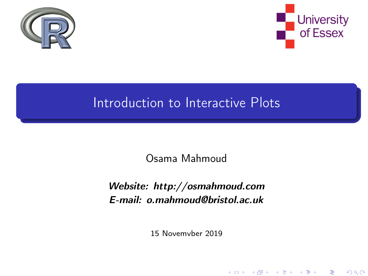<span id="page-0-0"></span>



K ロ ▶ (御 ▶ (君 ▶ (君 ▶ ) (君 → ) ⊙) Q ⊙

### Introduction to Interactive Plots

Osama Mahmoud

#### Website: http://osmahmoud.com E-mail: o.mahmoud@bristol.ac.uk

15 Novemvber 2019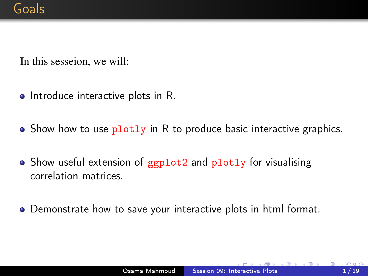<span id="page-1-0"></span>In this sesseion, we will:

- $\bullet$  Introduce interactive plots in R.
- $\bullet$  Show how to use  $\frac{p \cdot p}{p \cdot p}$  in R to produce basic interactive graphics.
- Show useful extension of ggplot2 and plotly for visualising correlation matrices.
- Demonstrate how to save your interactive plots in html format.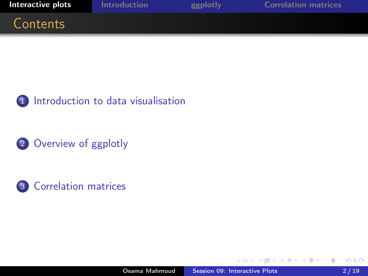<span id="page-2-0"></span>



2 [Overview of ggplotly](#page-5-0)



∍

4.重

 $\sim$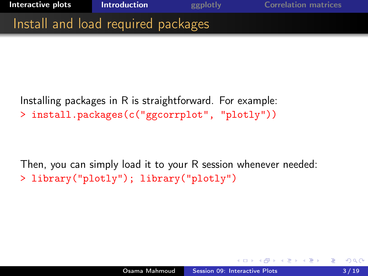<span id="page-3-0"></span>

Installing packages in R is straightforward. For example: > install.packages(c("ggcorrplot", "plotly"))

Then, you can simply load it to your R session whenever needed: > library("plotly"); library("plotly")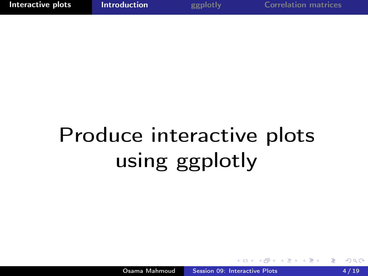## Produce interactive plots using ggplotly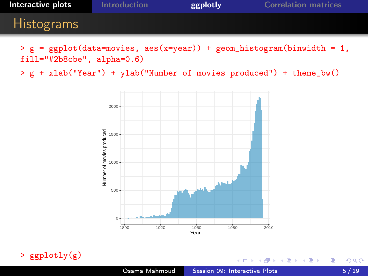<span id="page-5-0"></span>

| Interactive plots | <b>Introduction</b> | ggplotly | <b>Correlation matrices</b> |
|-------------------|---------------------|----------|-----------------------------|
| <b>Histograms</b> |                     |          |                             |
|                   |                     |          |                             |

 $> g = ggplot(data=movies, aes(x=year)) + geom\_histogram(binwidth = 1,$ fill="#2b8cbe", alpha=0.6)

> g + xlab("Year") + ylab("Number of movies produced") + theme\_bw()



> ggplotly(g)

Þ

÷.  $\sim$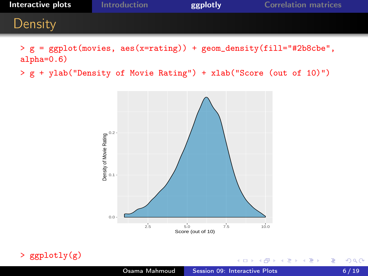

> g = ggplot(movies, aes(x=rating)) + geom\_density(fill="#2b8cbe", alpha=0.6)

> g + ylab("Density of Movie Rating") + xlab("Score (out of 10)")



> ggplotly(g)

4日)

伺 **In** э  $\sim$ ∢ 重→ Þ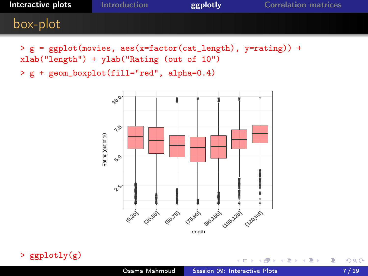| Interactive plots | Introduction | ggplotly | <b>Correlation matrices</b> |
|-------------------|--------------|----------|-----------------------------|
| box-plot          |              |          |                             |

> g = ggplot(movies, aes(x=factor(cat\_length), y=rating)) + xlab("length") + ylab("Rating (out of 10")

> g + geom\_boxplot(fill="red", alpha=0.4)





C.

**In** 4 重  $\sim$ 一 4 (三) 头 E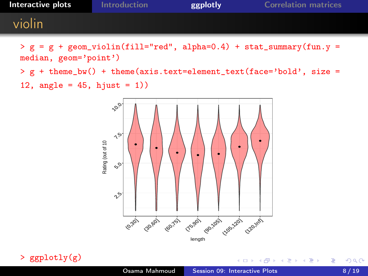| Interactive plots | <b>Introduction</b> | ggplotly | <b>Correlation matrices</b> |
|-------------------|---------------------|----------|-----------------------------|
| violin            |                     |          |                             |

 $> g = g + geom\_violin(fill="red", alpha=0.4) + stat_summary(fun.y =$ median, geom='point')

> g + theme\_bw() + theme(axis.text=element\_text(face='bold', size = 12, angle =  $45$ , hjust = 1))



> ggplotly(g)

E

÷.  $\sim$ 

∍

 $\sim$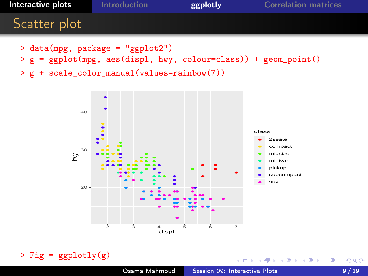

4 0 8

→ 冊→

一本 三 下

∢ 重→

э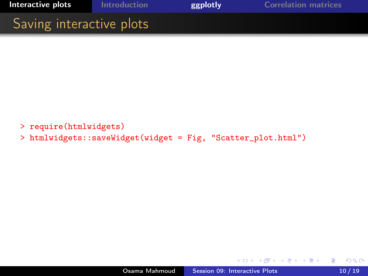<span id="page-10-0"></span>

- > require(htmlwidgets)
- > htmlwidgets::saveWidget(widget = Fig, "Scatter\_plot.html")

 $\overline{a}$ 

k 로 ) k (로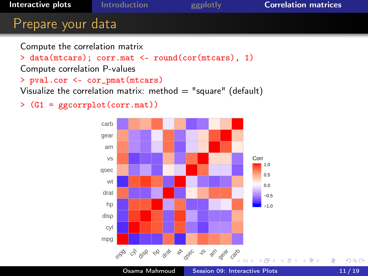<span id="page-11-0"></span>

> data(mtcars); corr.mat <- round(cor(mtcars), 1) Compute correlation P-values > pval.cor <- cor\_pmat(mtcars)

Visualize the correlation matrix: method  $=$  "square" (default)

> (G1 = ggcorrplot(corr.mat))

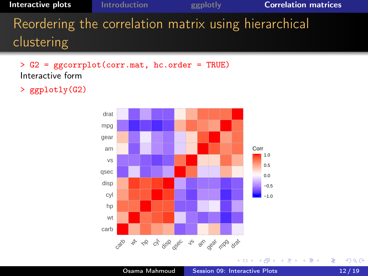**[Interactive plots](#page-2-0)** [Introduction](#page-3-0) **[ggplotly](#page-5-0) [Correlation matrices](#page-11-0)** Reordering the correlation matrix using hierarchical clustering

> G2 = ggcorrplot(corr.mat, hc.order = TRUE) Interactive form

> ggplotly(G2)



 $\rightarrow$   $\Rightarrow$   $\rightarrow$ E

适  $\sim$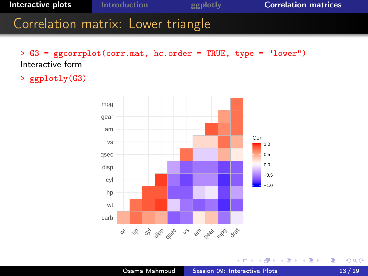**[Interactive plots](#page-2-0)** [Introduction](#page-3-0) **[ggplotly](#page-5-0) [Correlation matrices](#page-11-0)** Correlation matrix: Lower triangle

> G3 = ggcorrplot(corr.mat, hc.order = TRUE, type = "lower") Interactive form

> ggplotly(G3)



4 17 18

高 **In**  $\leftarrow \equiv$  Þ

∢ 重→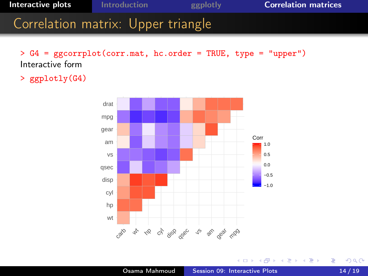**[Interactive plots](#page-2-0)** [Introduction](#page-3-0) [ggplotly](#page-5-0) [Correlation matrices](#page-11-0) Correlation matrix: Upper triangle

> G4 = ggcorrplot(corr.mat, hc.order = TRUE, type = "upper") Interactive form

> ggplotly(G4)



4 17 18

有  $\mathbf{h}$  Þ

 $\mathbf{A} \equiv \mathbf{A} \times \mathbf{A} \equiv \mathbf{A}$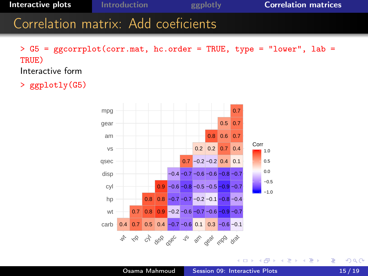**[Interactive plots](#page-2-0)** [Introduction](#page-3-0) **[ggplotly](#page-5-0) [Correlation matrices](#page-11-0)** Correlation matrix: Add coeficients

 $>$  G5 = ggcorrplot(corr.mat, hc.order = TRUE, type = "lower", lab = TRUE) Interactive form

> ggplotly(G5)



つくへ

÷.  $\sim$ э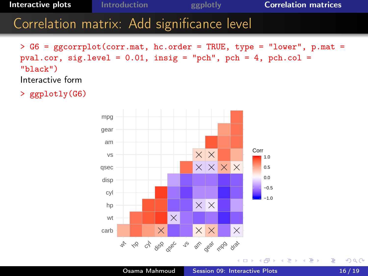**[Interactive plots](#page-2-0)** [Introduction](#page-3-0) **[ggplotly](#page-5-0) [Correlation matrices](#page-11-0)** Correlation matrix: Add significance level

> G6 = ggcorrplot(corr.mat, hc.order = TRUE, type = "lower", p.mat = pval.cor, sig.level =  $0.01$ , insig = "pch", pch = 4, pch.col = "black") Interactive form

> ggplotly(G6)



 $299$ 

重き э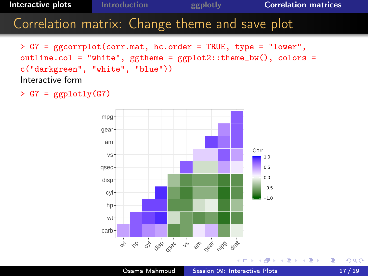## **[Interactive plots](#page-2-0)** [Introduction](#page-3-0) **[ggplotly](#page-5-0) [Correlation matrices](#page-11-0)** Correlation matrix: Change theme and save plot

> G7 = ggcorrplot(corr.mat, hc.order = TRUE, type = "lower", outline.col = "white", ggtheme =  $ggplot2::theme_bw()$ , colors = c("darkgreen", "white", "blue")) Interactive form

 $> GT = ggplotly(G7)$ 



→ 頂 トー

重

すぎ  $\sim$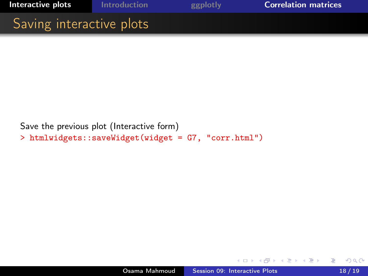

Save the previous plot (Interactive form) > htmlwidgets::saveWidget(widget = G7, "corr.html")

 $\sim$   $\sim$ 

÷. → 三  $\sim$